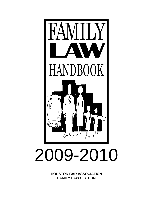

# 2009-2010

**HOUSTON BAR ASSOCIATION FAMILY LAW SECTION**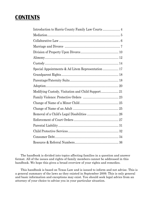# **CONTENTS**

The handbook is divided into topics affecting families in a question and answer format. All of the issues and rights of family members cannot be addressed in this handbook. We hope this gives a broad overview of your rights and remedies.

This handbook is based on Texas Law and is issued to inform and not advise. This is a general summary of the laws as they existed in September 2009. This is only general and basic information and exceptions may exist. You should seek legal advice from an attorney of your choice to advise you in your particular situation.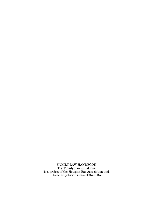FAMILY LAW HANDBOOK The Family Law Handbook is a project of the Houston Bar Association and the Family Law Section of the HBA.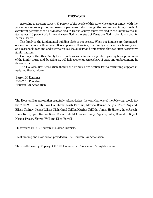#### FOREWORD

According to a recent survey, 85 percent of the people of this state who came in contact with the judicial system — as jurors, witnesses, or parties — did so through the criminal and family courts. A significant percentage of all civil cases filed in Harris County courts are filed in the family courts; in fact, almost 10 percent of all the civil cases filed in the State of Texas are filed in the Harris County Family Courts.

The family is the fundamental building block of our society. When our families are threatened, our communities are threatened. It is important, therefore, that family courts work efficiently and at a reasonable cost and endeavor to reduce the anxiety and antagonism that too often accompany family matters.

Our hope is that this Family Law Handbook will educate the public regarding basic procedures of the family courts and, by doing so, will help create an atmosphere of trust and understanding in those courts.

The Houston Bar Association thanks the Family Law Section for its continuing support in updating this handbook.

Barrett H. Reasoner 2009-2010 President, Houston Bar Association

The Houston Bar Association gratefully acknowledges the contributions of the following people for the 2009-2010 Family Law Handbook: Kristi Barnhill, Martha Bourne, Angela Pence England, Eileen Gaffney, Jolene Wilson-Glah, Carol Griffin, Katrina Griffith, James Hedleston, Jane Joseph, Dana Karni, Lynn Kamin, Robin Klein, Kate McConnico, Immy Pappadopoulos, Donald R. Royall, Norma Trusch, Sharon Wall and Ellen Yarrell.

Illustrations by C.P. Houston, Houston Chronicle.

Local funding and distribution provided by The Houston Bar Association.

Thirteenth Printing. Copyright © 2009 Houston Bar Association. All rights reserved.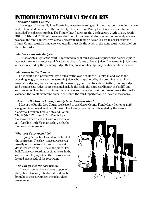# **INTRODUCTION TO FAMILY LAW COURTS**

#### *What are Family Courts?*

The judges of the Family Law Courts hear cases concerning family law matters, including divorce and child related matters. In Harris County, there are nine Family Law Courts, and each court is identified by a district number. The Family Law Courts are the 245th, 246th, 247th, 308th, 309th, 310th, 311th, and 312th. At the time of the filing of your lawsuit, the case will be randomly assigned to one of the nine Family Law Courts, unless you are filing an action related to a prior order of a Harris County court. In that case, you usually must file the action in the same court which ruled on the initial order.

#### *What are Associate Judges?*

The associate judge of the court is appointed by that court's presiding judge. The associate judge has met the same statutory qualifications as those of a state district judge. The associate judge hears all cases referred by the presiding judge. By law, an associate judge may not hear certain matters.

#### *Who works in the Courts?*

Each court has a presiding judge elected by the voters of Harris County. In addition to the presiding judge, there is also an associate judge, who is appointed by the presiding judge. The associate judge may handle many matters involving your case. In addition to the presiding judge and the associate judge, court personnel include the clerk, the court coordinator, the bailiff, and court reporter. The clerk maintains the papers in each case; the court coordinator keeps the court's calendar; the bailiff maintains order in the court; the court reporter takes a record of testimony.

#### *Where are the Harris County Family Law Courts located?*

Most of the Family Law Courts are located in the Harris County Family Law Center at 1115 Congress Avenue in downtown Houston. The Family Law Center is bounded by the streets Congress, Franklin, San Jacinto and Fannin.

The 245th, 247th, and 310th Family Law Courts are located at the Civil Courthouse at 201 Caroline, 15th Floor, as is the 280th, the Domestic Violence Court.

#### *What is a Courtroom like?*

The judge's bench is located in the front of the courtroom. The clerk and court reporter usually sit in the front of the courtroom at desks located on either side of the judge. The bailiff and court coordinator sit at desks in the courtroom. The jury sits in the rows of chairs located on one side of the courtroom.

#### *Who can go into the courtroom?*

The courtrooms themselves are open to the public. Generally, children should not be brought to the court unless the judge gives permission.

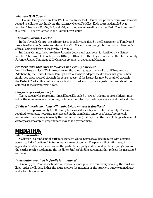#### *What are IV-D Courts?*

 In Harris County there are four IV-D Courts. In the IV-D Courts, the primary focus is on lawsuits related to child support involving the Attorney General's Office. Each court is identified by a number. They are 991, 992, 993, and 994, and they are informally known as IV-D Court numbers 1, 2, 3, and 4. They are located in the Family Law Center.

#### *What are Juvenile Courts?*

In the Juvenile Courts, the primary focus is on lawsuits filed by the Department of Family and Protective Services (sometimes referred to as "CPS") and cases brought by the District Attorney's office alleging violation of the law by a juvenile.

In Harris County, there are three Juvenile Courts and each court is identified by a district number. The Juvenile Courts are the 313th, 314th and 315th. They are located in the Harris County Juvenile Justice Center, at 1200 Congress Avenue, in downtown Houston.

#### *Are there rules that must be followed in a Family Law suit?*

Yes. The Texas Rules of Civil Procedure are the rules that apply generally to all Texas courts. Additionally, the Harris County Family Law Courts have adopted local rules which govern how family law cases proceed through the courts. A copy of the local rules may be obtained through the District Clerk's office online at www.hcdistrictclerk.com or at www.justex.net, and should be obtained at the beginning of a case.

#### *Can you represent yourself?*

Yes. A person who represents himself/herself is called a "pro se" litigant. A pro se litigant must follow the same rules as an attorney, including the rules of procedure, evidence, and the local rules.

#### *If I file a lawsuit, how long will it take before my case is finalized?*

There are approximately 36,000 family law cases filed each year in Harris County. The time required to complete your case may depend on the complexity and type of case. A completely uncontested divorce may take only the minimum time (61st day from the date of filing), while a child custody case or complex property case may take a year or more.

### **MEDIATION**

#### *What is mediation?*

 Mediation is a confidential settlement process where parties to a dispute meet with a neutral person, called a "mediator," to try to resolve areas of conflict. The parties, their attorneys, if applicable, and the mediator discuss the goals of each party and the reality of each party's position. If the parties reach a settlement, the mediator drafts a binding agreement that reflects the negotiated settlement.

#### *Is mediation required in family law matters?*

 Generally yes. Prior to the final trial, and sometimes prior to a temporary hearing, the court will likely order mediation. Either the court chooses the mediator or the attorneys agree to a mediator and schedule mediation.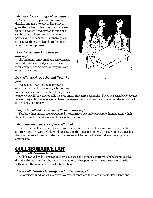#### *What are the advantages of mediation?*

 Mediation is the parties' process and decision and not the court's. The process gives the parties control over the outcome of their case; offers certainty to the outcome; can be creative based on the individual parties and their children; is generally less exspensive than a trial; and is a friendlier, less contentious process.

#### *Does the mediator have to be an attorney?*

 No, but an attorney-mediator experienced in family law is generally very beneficial in family disputes, whether involving children or property issues.

#### *Do mediators share a fee, and if so, who pays?*

 It depends. There are mediators and organizations in Harris County who perform mediations based on the ability of the parties

to pay. Generally the parties split the cost unless they agree otherwise. There is a considerable range in fees charged by mediators, often based on experience, qualifications and whether the session will be a full day or half day.

#### *Can parties attend mediation without an attorney?*

 Yes, but when parties are represented the attorneys normally participate in mediation to help their client make an informed and reasonable decision.

#### *What happens to the case after mediation?*

 If an agreement is reached at mediation, the written agreement is transferred by one of the attorneys into an Agreed Order and presented to the judge to approve. If no agreement is reached, the case proceeds to trial and the disputed issues will be decided by the judge or the jury, when appropriate.

# **COLLABORATIVE LAW**

#### *What is Collaborative Law?*

Collaborative law is a process used by some specially trained attorneys to help clients resolve disputes through an open sharing of information and cooperation by the attorneys and parties without the threat or fear of court intervention.

#### *How is Collaborative Law different for the attorneys?*

An attorney hired for collaborative law cannot represent the client in court. The clients and

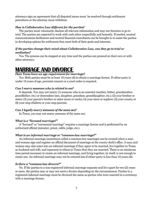attorneys sign an agreement that all disputed issues must be resolved through settlement procedures or the attorney must withdraw.

#### *How is Collaborative Law different for the parties?*

The parties must voluntarily disclose all relevant information and may not threaten to go to trial. The parties are expected to work with each other respectfully and honestly. If needed, neutral communications facilitators and neutral financial consultants can be brought in to assist the parties in developing options for settlement that meet both of their goals and interests.

#### *If the parties change their mind about Collaborative Law, can they go to trial or mediation?*

Yes. The process can be stopped at any time and the parties can proceed on their own or with other attorneys.

### **MARRIAGE AND DIVORCE**

#### *Does Texas have an age requirement for marriage?*

Yes. Both parties must be at least 18 years old to obtain a marriage license. If either party is under 18 years of age, parental consent or a court order is required.

#### *Can I marry someone who is related to me?*

It depends. You may not marry (1) someone who is an ancestor (mother, father, grandmother, grandfather, etc.) or descendent (son, daughter, grandson, granddaughter, etc.); (2) your brother or sister; (3) your parent's brother or sister (aunt or uncle); (4) your niece or nephew; (5) your cousin; or (6) your step-children or your step-parents.

#### *Can I legally marry someone of the same sex?*

In Texas, you may not marry someone of the same sex.

#### *What is a "licensed marriage?"*

A "licensed" or "ceremonial marriage" requires a marriage license and is performed by an authorized official (minister, priest, rabbi, judge, etc.).

#### *What is an informal marriage or "common-law marriage?"*

An informal marriage (sometimes called a common-law marriage) can be created when a man and woman sign and register an official document of marriage at the county clerk's office. A man and woman may also enter into an informal marriage if they agree to be married, live together in Texas as husband and wife, and represent to others in Texas that they are married. There is no minimum time period necessary to create an informal marriage, and living together, by itself, is not enough to create one. An informal marriage may not be entered into if either party is less than 18 years old.

#### *Is there a "common-law divorce?"*

No. If the parties to a non-registered informal marriage separate and live apart for two (2) years or more, the parties may or may not need a divorce depending on the circumstances. Parties to a registered informal marriage must be divorced the same as parties who were married in a ceremony with a marriage license.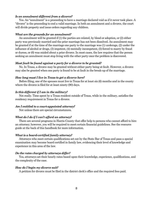#### *Is an annulment different from a divorce?*

Yes. An "annulment" is a proceeding to have a marriage declared void as if it never took place. A "divorce" is the proceeding to end a valid marriage. In both an annulment and a divorce, the court will divide property and issue orders regarding any children.

#### *What are the grounds for an annulment?*

An annulment will be granted if (1) the parties are related, by blood or adoption, or (2) either party was previously married and the prior marriage has not been dissolved. An annulment may be granted if at the time of the marriage one party to the marriage was (1) underage, (2) under the influence of alcohol or drugs, (3) impotent, (4) mentally incompetent, (5) forced to marry by fraud or duress, or (6) was misled about a prior divorce. In most cases, the law requires that the person seeking an annulment must stop living with the other party once the problem is discovered.

#### *Must fault be found against a party for a divorce to be granted?*

No. In Texas, a divorce may be granted without either party being at fault. However, a divorce may also be granted when one party is found to be at fault in the break-up of the marriage.

#### *How long must I live in Texas to get a divorce here?*

Before filing, one of the spouses must live in Texas for at least six (6) months and in the county where the divorce is filed for at least ninety (90) days.

#### *Is this different if I am in the military?*

Not really. Time spent by a Texas resident outside of Texas, while in the military, satisfies the residency requirement in Texas for a divorce.

#### *Am I entitled to a court-appointed attorney?*

Not unless there are special circumstances.

#### *What do I do if I can't afford an attorney?*

There are several programs in Harris County that offer help to persons who cannot afford to hire an attorney; however, you will be required to meet certain financial guidelines. See the resource guide at the back of this handbook for more information.

#### *What is a board-certified family attorney?*

Attorneys who meet certain qualifications set out by the State Bar of Texas and pass a special examination may become board certified in family law, evidencing their level of knowledge and experience in this area of the law.

#### *Do the rates charged by attorneys differ?*

Yes, attorneys set their hourly rates based upon their knowledge, experience, qualifications, and the complexity of the case.

#### *How do I begin my divorce suit?*

A petition for divorce must be filed in the district clerk's office and the required fees paid.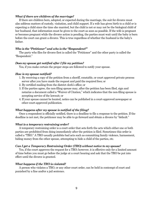#### *What if there are children of the marriage?*

If there are children born, adopted, or expected during the marriage, the suit for divorce must also address matters of custody, visitation, and child support. If a wife has given birth to a child or is expecting a child since the time she married, but the child is not or may not be the biological child of her husband, that information must be given to the court as soon as possible. If the wife is pregnant or becomes pregnant while the divorce action is pending, the parties must wait until the baby is born before the court can grant a divorce. This is true regardless of whether the husband is the baby's father.

#### *Who is the "Petitioner" and who is the "Respondent?"*

The party who files for divorce first is called the "Petitioner" and the other party is called the "Respondent."

#### *Does my spouse get notified after I file my petition?*

Yes, if you make certain the proper steps are followed to notify your spouse.

#### *How is my spouse notified?*

- 1. By receiving a copy of the petition from a sheriff, constable, or court approved private process server after you have made the request and paid the required fees; or
- 2. By certified mailing from the district clerk's office; or
- 3. If the parties agree, the non-filing spouse may, after the petition has been filed, sign and notarize a document called a "Waiver of Citation," which indicates that the non-filing spouse is accepting service of the lawsuit; or
- 4. If your spouse cannot be located, notice can be published in a court-approved newspaper or other court-approved publication.

#### *What happens after my spouse is notified of the filing?*

Once a respondent is officially notified, there is a deadline to file a response to the petition. If the deadline is not met, the petitioner may be able to go forward and obtain a divorce by "default."

#### *What is a temporary restraining order?*

A temporary restraining order is a court order that sets forth the acts which either one or both parties are prohibited from doing immediately after the petition is filed. Sometimes this order is called a "TRO." A TRO usually prohibits bad acts such as committing family violence, harassment, hiding money from the other spouse, attempting to hide a child of the parties, etc.

#### *Can I get a Temporary Restraining Order (TRO) without notice to my spouse?*

Yes, if the court approves the request for a TRO; however, it is effective only for a limited amount of time before you must go before the judge at a court hearing and ask that the TRO be put into effect until the divorce is granted.

#### *What happens if the TRO is violated?*

A person who violates a TRO, or any other court order, can be held in contempt of court and punished by a fine and/or a jail sentence.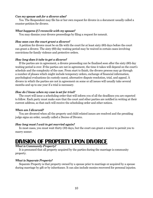#### *Can my spouse ask for a divorce also?*

Yes. The Respondent may file his or her own request for divorce in a document usually called a counter-petition for divorce.

#### *What happens if I reconcile with my spouse?*

You may dismiss your divorce proceedings by filing a request for nonsuit.

#### *How soon can the court grant a divorce?*

A petition for divorce must be on file with the court for at least sixty (60) days before the court can grant a divorce. The sixty (60) day waiting period may be waived in certain cases involving convictions for family violence and protective orders.

#### *How long does it take to get a divorce?*

If the parties are in agreement, a divorce proceeding can be finalized soon after the sixty (60) day waiting period is over. If the parties are not in agreement, the time it takes will depend on the court's schedule and the complexity of the case. From start to finish, the divorce process may go through a number of phases which might include temporary orders, exchange of financial information, psychological evaluations (in custody cases), alternative dispute resolution, trial, and appeal. A divorce in which the parties are not in agreement on some or all issues will usually take several months and up to one year if a trial is necessary.

#### *How do I know when my case is set for trial?*

The court will issue a scheduling order that will inform you of all the deadlines you are expected to follow. Each party must make sure that the court and other parties are notified in writing at their current address, so that each will receive the scheduling order and other notices.

#### *When am I divorced?*

You are divorced when all the property and child related issues are resolved and the presiding judge signs an order, usually called a Decree of Divorce.

#### *How long must I wait to get married again?*

In most cases, you must wait thirty (30) days, but the court can grant a waiver to permit you to marry sooner.

### **DIVISION OF PROPERTY UPON DIVORCE**

#### *What is Community Property?*

It is presumed that all property acquired by the parties during the marriage is community property.

#### *What is Separate Property?*

Separate Property is that property owned by a spouse prior to marriage or acquired by a spouse during marriage by gift or by inheritance. It can also include monies recovered for personal injuries.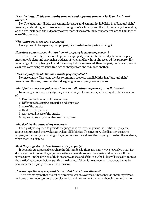#### *Does the judge divide community property and separate property 50-50 at the time of divorce?*

No. The judge only divides the community assets and community liabilities in a "just and right" manner, while taking into consideration the rights of each party and the children, if any. Depending on the circumstances, the judge may award more of the community property and/or the liabilities to one of the spouses.

#### *What happens to separate property?*

Once proven to be separate, that property is awarded to the party claiming it.

#### *How does a party prove that an item of property is separate property?*

There are a variety of methods to prove that property is separate. Generally, however, a party must provide clear and convincing evidence of when and how he or she received the property. If it has changed form by being sold and the money held or reinvested, then the party must also provide clear and convincing evidence tracing the change from one form into another.

#### *Does the judge divide the community property 50-50?*

Not necessarily. The judge divides community property and liabilities in a "just and right" manner and this may result in the judge giving more property to one spouse.

#### *What factors does the judge consider when dividing the property and liabilities?*

In making a division, the judge may consider any relevant factor, which might include evidence of:

- 1. Fault in the break-up of the marriage
- 2. Differences in earning capacities and education
- 3. Age of the parties
- 4. Health of the parties
- 5. Any special needs of the parties
- 6. Separate property available to either spouse

#### *Who decides the value of my property?*

Each party is required to provide the judge with an inventory which identifies all property, assets, accounts and their value, as well as all liabilities. The inventory also lists any separate property either party is claiming. The judge decides the value of the property, based on the evidence, when there is a dispute.

#### *Must the judge decide how to divide the property?*

It depends. As discussed elsewhere in this handbook, there are many ways to resolve a suit for divorce without having the judge decide the value or division of the assets and liabilities. If the parties agree on the division of their property, at the end of the case, the judge will typically approve the parties' agreement before granting the divorce. If there is no agreement, however, it may be necessary for the judge to make the decisions.

#### *How do I get the property that is awarded to me in the divorce?*

There are many methods to get the property you are awarded. These include obtaining signed real estate documents, orders to employers to divide retirement and other benefits, orders in the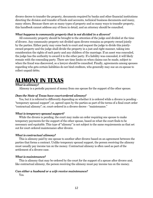divorce decree to transfer the property, documents required by banks and other financial institutions directing the division and transfer of funds and accounts, technical business documents and many, many others. Because there are so many types of property and so many ways to transfer property, this handbook cannot address any of them in detail, and an attorney should be consulted.

#### *What happens to community property that is not divided in a divorce?*

All community property should be brought to the attention of the judge and divided at the time of divorce. Any community property not divided upon divorce remains as property owned jointly by the parties. Either party may come back to court and request the judge to divide this jointlyowned property and the judge shall divide the property in a just and right manner, taking into consideration the rights of each party and any children of the marriage. If an asset was concealed, the judge has the authority to award it to the other party. If a liability was concealed, it will likely remain with the concealing party. There are time limits on when claims can be made, subject to when the fraud was discovered, so a lawyer should be consulted. Finally, agreements among spouses regarding who gets certain liabilities do not bind creditors, who generally may sue an ex-spouse to collect unpaid debts.

# **ALIMONY IN TEXAS**

#### *What is alimony?*

Alimony is a periodic payment of money from one spouse for the support of the other spouse.

#### *Does the State of Texas have court-ordered alimony?*

Yes, but it is referred to differently depending on whether it is ordered while a divorce is pending - "temporary spousal support"; or, agreed upon by the parties as part of the terms of a final court order "contractual alimony"; or, court-ordered in a divorce decree - "maintenance."

#### *What is temporary spousal support?*

While the divorce is pending, the court may make an order requiring one spouse to make temporary payments for the support of the other spouse, based on what the court finds to be necessary and equitable. This type of "alimony" is not subject to the same requirements as that set out for court ordered maintenance after divorce.

#### *What is contractual alimony?*

This is alimony paid by one spouse to another after divorce based on an agreement between the parties that forms a contract. Unlike temporary spousal support, the person receiving the alimony must usually pay income tax on the money. Contractual alimony is often used as part of the settlement of a divorce case.

#### *What is maintenance?*

This is alimony that may be ordered by the court for the support of a spouse after divorce and, like contractual alimony, the person receiving the alimony must pay income tax on the money.

#### *Can either a husband or a wife receive maintenance?*

Yes.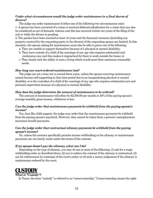#### *Under what circumstances would the judge order maintenance in a final decree of divorce?*

The judge can order maintenance if either one of the following two circumstances exist: 1. A spouse has been convicted of a crime or received deferred adjudication for a crime that can also be considered an act of domestic violence and this has occurred within two years of the filing of the suit or while the divorce is pending;

2. The parties have been married at least 10 years and the financial resources (including any property received by the requesting party in the divorce) of the requesting spouse are limited. In this situation, the spouse asking for maintenance must also be able to prove one of the following:

- a. They are unable to support themselves because of a physical or mental disability;
- b. They have custody of a child of the marriage of any age who requires substantial and continuous care and this makes it impractical for them to work outside the home; or
- c. They clearly lack the ability to earn a living which would meet their minimum reasonable needs.

#### *How long can court-ordered maintenance last?*

The judge can set a time not to exceed three years, unless the spouse receiving maintenance cannot become self-supporting in that time period due to an incapacitating physical or mental disability or is the custodian of a child of the marriage of any age who requires substantial care and personal supervision because of a physical or mental disability.

#### *How does the judge determine the amount of maintenance to be ordered?*

The amount of maintenance will either be \$2,500.00 per month or 20% of the paying spouse's average monthly gross income, whichever is less.

#### *Can the judge order that maintenance payments be withheld from the paying spouse's income?*

Yes. Just like child support, the judge may order that the maintenance payments be withheld from the paying spouse's paycheck. However, they cannot be taken from a person's unemployment insurance benefit payments.

#### *Can the judge order that contractual alimony payments be withheld from the paying spouse's income?*

No, unless the contract specifically permits income withholding or the alimony or maintenance payments are not timely made under the terms of the contract.

#### *If my spouse doesn't pay the alimony, what can I do?*

Depending on the type of alimony, you may do one or more of the following: (1) ask for a wagewithholding order as described above; (2) sue to enforce the contract if the alimony is contractual; (3) sue for enforcement by contempt of the court's order; or (4) seek a money judgement if the alimony is maintenance ordered by the court.



#### *What is "Custody"?*

In Texas, the term "custody" is referred to as "conservatorship." Conservatorship means the right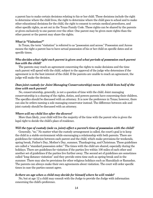a parent has to make certain decisions relating to his or her child. These decisions include the right to determine where the child lives, the right to determine where the child goes to school and to make other educational decisions for the child, the right to consent to certain medical procedures, and other specific rights, as set out in the Texas Family Code. These rights can be shared by the parents or given exclusively to one parent over the other. One parent may be given more rights than the other parent or the parent may share the rights.

#### *What is "Visitation?"*

 In Texas, the term "visitation" is referred to as "possession and access." Possession and Access means the right a parent has to have actual possession of his or her child on specific dates and at specific times.

#### *Who decides what right each parent is given and what periods of possession each parent has with the child?*

 The parents may reach an agreement concerning the rights to make decisions and the time each parent will spend with the child, subject to the approval of the judge who determines if the agreement is in the best interest of the child. If the parents are unable to reach an agreement, the judge will make the decision.

#### *Does joint custody (or Joint Managing Conservatorship) mean the child lives half of the time with each parent?*

 No, conservatorship, generally, is not a question of time with the child. Joint managing conservatorship is a sharing of the rights, duties, and powers parents have concerning their children. The specifics should be discussed with an attorney. It is now the preference in Texas; however, there can also be orders naming a sole managing conservator instead. The difference between sole and joint custody should be discussed with an attorney.

#### *Where will my child live after the divorce?*

 More than likely, your child will live the majority of the time with the parent who is given the legal right to decide the child's place of residence.

#### *Will the type of custody (sole vs. joint) affect a parent's time of possession with the child?*

 Generally, "no." No matter what the custody arrangement is called, the court's goal is to keep the child in a stable environment while encouraging a relationship with both parents. There are guidelines for visitation between each parent and the child, which make provisions for weekends, spring break, Father's Day, Mother's Day, summer, Thanksgiving, and Christmas. These guidelines are called a "standard possession order." The times with the child are shared, especially during the holidays. There are guidelines for visitation if the parties live within 100 miles of each other and another set of guidelines if the parties live further away. The second set of guidelines are sometimes called "long distance visitation" and they provide extra time such as spring break and in the summer. There may also be provisions for other religious holidays such as Hanukkah or Ramadan. The parents can always make their own agreements about visitation. The court will order specific times in case the parties cannot agree.

#### *Is there an age when a child may decide for himself where he will reside?*

 No, but at age 12 a child may consult with the Judge to provide the Judge with information concerning the child's preference.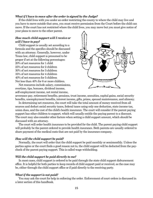#### *What if I have to move after the order is signed by the Judge?*

 If the child lives with you under an order restricting the county to where the child may live and you have to move outside that area, you must receive permission from the Court before the child can move. If the court has not restricted where the child lives, you may move but you must give notice of your plans to move to the other parent.

#### *How much child support will I receive or will I have to pay?*

 Child support is usually set according to a formula and the specifics should be discussed with an attorney. Generally, however, under Texas law, child support is presumed to be proper if set at the following percentages: 20% of net resources for 1 child 25% of net resources for 2 children 30% of net resources for 3 children 35% of net resources for 4 children 40% of net resources for 5 children Not less than 40% for 6 or more children.

 Net resources include salary, commissions, overtime, tips, bonuses, dividend income, self-employment income, net rental income,



severance pay, retirement benefits, pensions, trust income, annuities, capital gains, social security benefits, unemployment benefits, interest income, gifts, prizes, spousal maintenance, and alimony.

 In determining net resources, the court will take the total amount of money received from all sources and deduct social security taxes, federal taxes using only one deduction, state income tax, union dues, and the cost of the child's health insurance. The court will consider if the parent paying support has other children to support, which will usually entitle the paying parent to a discount. The court may also consider other factors when setting a child support amount, which should be discussed with an attorney.

 The court will order health insurance to be provided for the child. The parent paying child support will probably be the parent ordered to provide health insurance. Both parents are usually ordered to share payment of the medical costs that are not paid by the insurance company.

#### *How will the child support be paid?*

 Normally, the court will order that the child support be paid monthly or semimonthly. Unless the parties agree or the court finds a good reason not to, the child support will be deducted from the paycheck of the parent paying support. This is called wage withholding.

#### *Will the child support be paid directly to me?*

 In most cases, child support is ordered to be paid through the state child support disbursement office. It is helpful for both parties to keep records of child support paid or received, as the case may be, either through the child support office or if paid directly to the receiving party.

#### *What if the support is not paid?*

 You may ask the court for help in enforcing the order. Enforcement of court orders is discussed in a later section of this handbook.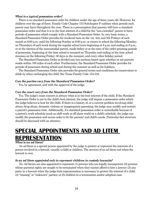#### *What is a typical possession order?*

 There is no standard possession order for children under the age of three years old. However, for children over the age of three, Family Code Chapter 153 Subchapter F outlines what periods each parent may have throughout the year. There is a presumption that parents will have a standard possession order and that it is in the best interest of a child for the "non-custodial" parent to have periods of possession which comply with a Standard Possession Order. In very basic terms, a Standard Possession Order provides for weekend time on the 1st, 3rd, and 5th Fridays of each month at 6:00 p.m. until the following Sunday at 6:00 p.m. or return to school the following Monday; on Thursdays of each week during the regular school term beginning at 6 p.m. and ending at 8 p.m., or at the election of the noncustodial parent, made before or at the time of the order granting periods of possession, beginning at the time school is recessed on Thursday and ending at the time school resumes on the following Friday; 30 days in the summer; and every other holiday period.

 The Standard Possession Order is divided into two sections based upon whether or not parents reside within 100 miles of each other. Furthermore, the Standard Possession Order provides for periods of possession during school and during the summer as well as for holidays.

 The Standard Possession Order also provides for general terms and conditions for conservators to abide by when exchanging the child. See Texas Family Code 153.316.

#### *Can the parties vary from the Standard Possession Order?*

Yes, by agreement, and with the approval of the judge.

#### *Can the court vary from the Standard Possession Order?*

 Yes. The judge's main concern is always what is in the best interest of the child. If the Standard Possession Order is not in the child's best interest, the judge will impose a possession order which the judge believes is best for the child. If there is a history of, or a current problem involving child abuse, drug abuse, domestic violence or inappropriate parenting, the judge may modify and restrict a parent's possession time. Additionally, if a standard possession order is unworkable because of a parent's work schedule (such as shift work or off-shore work) or a child's schedule, the judge can modify the possession and access order to fit the parents' and child's needs. Particular fact structure should be discussed with an attorney.

# **SPECIAL APPOINTMENTS AND AD LITEM REPRESENTATION**

#### *What is an ad litem?*

An ad litem is a special person appointed by the judge to protect or represent the interests of a person involved in a lawsuit, usually a child or children. The services of an ad litem end when the lawsuit is over.

#### *Is an ad litem appointed only to represent children in custody lawsuits?*

No. Ad litems are also appointed to represent (1) persons who are legally incompetent; (2) persons whose parental rights are sought to be terminated when they cannot afford to hire a lawyer; (3) any party in a lawsuit when the judge feels representation is necessary to protect the interest of a child; (4) "missing" or "unknown" parties; or (5) children in a termination and/or adoption case.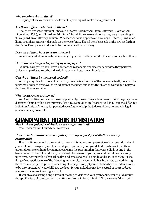#### *Who appoints the ad litem?*

The judge of the court where the lawsuit is pending will make the appointment.

#### *Are there different kinds of ad litems?*

Yes, there are three different kinds of ad litems: Attorney Ad Litem, Attorney/Guardian Ad Litem (Dual Role), and Guardian Ad Litem. The ad litem's role and duties may vary depending if it is a guardian or attorney ad litem. Whether the court appoints an attorney ad litem, guardian ad litem, or amicus attorney, depends on the type of case. The ad litem's specific duties are set forth in the Texas Family Code and should be discussed with an attorney.

#### *Does an ad litem have to be an attorney?*

An attorney ad litem must be an attorney. A guardian ad litem need not be an attorney, but often is.

#### *Do ad litems charge a fee, and if so, who pays it?*

Ad litems are generally allowed a fee for the reasonable and necessary services they perform. Unless the parties agree, the judge decides who will pay the ad litem's fee.

#### *Can the ad litem be dismissed or fired?*

A party may object to the ad litem at any time before the trial of the lawsuit actually begins. The judge may order the removal of an ad litem if the judge finds that the objection raised by a party to the lawsuit is reasonable.

#### *What is an Amicus Attorney?*

An Amicus Attorney is an attorney appointed by the court in certain cases to help the judge make decisions about a child's best interests. It is a role similar to an Attorney Ad Litem, but the difference is that an Amicus Attorney is appointed specifically to help the judge and does not provide legal services directly to a child.

### **GRANDPARENT RIGHTS TO VISITATION**

*May I ask the judge for visitation with my grandchild?*

Yes, under certain limited circumstances.

#### *Under what conditions could a judge grant my request for visitation with my grandchild?*

If at the time you make a request to the court for access and possession of your grandchild and your child is a biological parent or an adoptive parent of your grandchild who has not had their parental rights terminated, you must overcome the presumption that your child is acting in the best interest of the child and that your denial of or access to your grandchild would significantly impair your grandchild's physical health and emotional well being. In addition, at the time of the filing of your petition one of the following must apply: (1) your child has been incarcerated during the three month period prior to your filing of your petition; (2) your child has been found by a court to be incompetent, (3) your child has died; or (4) your child does not have actual or court-ordered possession or access to your grandchild.

If you are considering filing a lawsuit seeking to visit with your grandchild, you should discuss the specific facts of your case with an attorney. You will be required to file a sworn affidavit with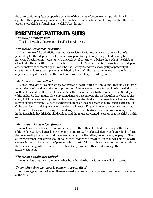the court containing facts supporting your belief that denial of access to your grandchild will significantly impair your grandchild's physical health and emotional well being and that the child's parent (your child) isn't acting in the child's best interest.

### **PARENTAGE/PATERNITY SUITS**

#### *What is a parentage suit?*

This is a lawsuit to determine a legal biological parent.

#### *What is the Registry of Paternity?*

The Bureau of Vital Statistics maintains a registry for fathers who wish to be notified of a proceeding for the adoption of or termination of parental rights regarding a child he may have fathered. The father may register with the registry of paternity (1) before the birth of the child, or (2) not later than the 31st day after the birth of the child. A father is entitled to notice of an adoption or termination of parental rights even if he has not registered with the registry of paternity if (1) a father-child relationship was established by law or (2) the man commences a proceeding to adjudicate his paternity before the court has terminated his parental rights.

#### *What is a presumed father?*

A presumed father is a man who is recognized to be the father of a child until that status is either rebutted or confirmed in a later court proceeding. A man is a presumed father if he is married to the mother of the child at the time of the child's birth, or was married to the mother within 301 days of the child's birth. A man is also a presumed father if he married the mother after the birth of the child, AND (1) he voluntarily asserted his paternity of the child and that assertion is filed with the bureau of vital statistics; (2) he is voluntarily named as the child's father on the birth certificate; or (3) he promised in writing to support the child as his own. Finally, it may be presumed that a man is the father of the child if during the first two years of the child's life, the man continuously resided in the household in which the child resided and the man represented to others that the child was his own.

#### *What is an acknowledged father?*

An acknowledged father is a man claiming to be the father of a child who, along with the mother of the child, has signed an acknowledgment of paternity. An acknowledgment of paternity is a form that is signed by the mother and the man claiming to be the father, under penalty of perjury. The acknowledgment is filed with the Bureau of Vital Statistics. Once filed, an acknowledgment has the same effect as a determination of parentage by a court. If the child has a presumed father who is not the man claiming to be the father of the child, the presumed father must also sign the acknowledgment.

#### *What is an adjudicated father?*

An adjudicated father is a man who has been found to be the father of a child by a court.

#### *Under what circumstances is a parentage suit filed?*

A parentage suit is filed when there is a need or a desire to legally determine the biological parent of the child.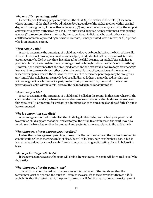#### *Who may file a parentage suit?*

Generally, the following people may file: (1) the child; (2) the mother of the child; (3) the man whose paternity of the child is to be adjudicated; (4) a relative of the child's mother, within the 2nd degree of consanguinity, if the mother is deceased; (5) any government agency, including the support enforcement agency, authorized by law; (6) an authorized adoption agency or licensed child-placing agency; (7) a representative authorized by law to act for an individual who would otherwise be entitled to maintain a proceeding but who is deceased, is incapacitated, or is a minor; or (8) a person who is an intended parent.

#### *When can you file?*

A suit to determine the parentage of a child may always be brought before the birth of the child. If the child does not have a presumed, acknowledged, or adjudicated father, the suit to determine parentage may be filed at any time, including after the child becomes an adult. If the child has a presumed father, a suit to determine parentage must be brought before the child's fourth birthday. However, if the court finds that the presumed father and the mother did not live together or engage in sexual intercourse with each other during the probable time of conception and the presumed father never openly treated the child as his own, a suit to determine parentage may be brought at any time. If the child has an acknowledged or adjudicated father, a man who did not sign the acknowledgment or who was not a party to the court proceeding may file a suit to determine parentage of a child within four (4) years of the acknowledgment or adjudication.

#### *Where can you file?*

A suit to determine the parentage of a child shall be filed in the county in this state where (1) the child resides or is found, (2) where the respondent resides or is found if the child does not reside in this state, or (3) a proceeding for probate or administration of the presumed or alleged father's estate has commenced.

#### *Why is a parentage suit filed?*

A parentage suit is filed to establish the child's legal relationship with a biological parent and to establish child support, visitation, and custody of the child. In certain cases, the court may also reimburse the biological mother for pre-natal and postnatal expenses related to the child's birth.

#### *What happens after a parentage suit is filed?*

Unless the parties agree on parentage, the court will order the child and the parties to submit to genetic testing. Genetic testing can be of blood, buccal cells, bone, hair, or other body tissue, but it is now usually done by a cheek swab. The court may not order genetic testing of a child before it is born.

#### *Who pays for the genetic tests?*

If the parties cannot agree, the court will decide. In most cases, the costs will be shared equally by the parties.

#### *What happens after the genetic tests?*

The lab conducting the test will prepare a report for the court. If the test shows that the tested man is not the parent, the court will dismiss the case. If the test shows that there is a 99% probability that the tested man is the parent, the court will find the man to be the biological parent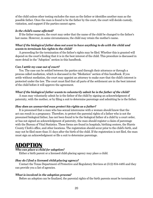of the child unless other testing excludes the man as the father or identifies another man as the possible father. Once the man is found to be the father by the court, the court will decide custody, visitation, and support if the parties cannot agree.

#### *Is the child's name affected?*

If the father requests, the court may order that the name of the child be changed to the father's last name. However, in some circumstances, the child may retain the mother's name.

#### *What if the biological father does not want to have anything to do with the child and wants to terminate his rights to the child?*

A proceeding for the termination of the father's rights may be filed. Whether this is granted will depend on the court's finding that it is in the best interest of the child. This procedure is discussed in more detail in the "Adoption" section in this handbook.

#### *Can I settle my case out of court?*

Yes. The case can be settled between the parties and through their attorneys or through a process called mediation, which is discussed in the "Mediation" section of this handbook. If you settle without mediation, the court may appoint an attorney to make sure that the child's interest is protected under the law. The court must find that all parts of the settlement are in the best interest of the child before it will approve the agreement.

#### *What if the biological father wants to voluntarily admit he is the father of the child?*

A man may voluntarily admit he is the father of the child by signing an acknowledgment of paternity, with the mother, or by filing a suit to determine parentage and admitting he is the father.

#### *How does an unmarried man protect his rights as a father?*

It is presumed that a man who has sexual intercourse with a woman should know that the act can result in a pregnancy. Therefore, to protect the parental rights of a father who is not the presumed biological father, has not been found to be the biological father of a child by a court order, or has not signed an acknowledgment of paternity, the man should register a claim of parentage with the Bureau of Vital Statistics. These forms are found in hospitals, birthing centers, the Harris County Clerk's office, and other locations. The registration should occur prior to the child's birth, and may not be filed more than 31 days after the birth of the child. If the registration is not filed, the man must sign an acknowledgment or file a suit to determine parentage.

# **ADOPTION**

#### *Who can place a child for adoption?*

Either a birth parent or a licensed child-placing agency may place a child.

#### *How do I find a licensed child-placing agency?*

Contact the Texas Department of Protective and Regulatory Services at (512) 834-4485 and they can provide you a list of agencies.

#### *What is involved in the adoption process?*

Before an adoption can be finalized, the parental rights of the birth parents must be terminated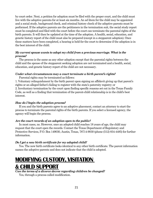by court order. Next, a petition for adoption must be filed with the proper court, and the child must live with the adoptive parents for at least six months. An ad litem for the child may be appointed and a social study, background check, and criminal history check of the adoptive parents must be performed. If the adoptive parents are the petitioners in the termination suit, the social study report must be completed and filed with the court before the court can terminate the parental rights of the birth parents. It will then be updated at the time of the adoption. A health, social, education, and genetic history report of the child must also be prepared (except in a stepparent adoption). Once these matters have been completed, a hearing is held for the court to determine if the adoption is in the best interest of the child.

#### *My current spouse wants to adopt my child from a previous marriage. What is the process?*

The process is the same as any other adoption except that the parental rights between the child and the spouse of the stepparent seeking adoption are not terminated and a health, social, education, and genetic history report of the child are not necessary.

#### *Under what circumstances may a court terminate a birth parent's rights?*

Parental rights may be terminated as follows:

1. Voluntary relinquishment by the birth parent upon signing an affidavit giving up that parent's rights or an alleged father's failing to register with the state's paternity registry; or 2. Involuntary termination by the court upon finding specific reasons set out in the Texas Family Code, as well as a finding that termination of the parent-child relationship is in the child's best interest.

#### *How do I begin the adoption process?*

If you and the birth parents agree to an adoptive placement, contact an attorney to start the process to terminate the parental rights of the birth parents. If you select a licensed agency, the agency will begin the process.

#### *Are the court records of an adoption open to the public?*

In most cases, no. However, once an adopted child reaches 18 years of age, the child may request that the court open the records. Contact the Texas Department of Regulatory and Protective Services, P.O. Box 149030, Austin, Texas, 78714-9030 (phone (512) 834-4485) for further information.

#### *Do I get a new birth certificate for my adopted child?*

Yes. The new birth certificate looks identical to any other birth certificate. The parent information names the adoptive parents and does not indicate that the child is adopted.

# **MODIFYING CUSTODY, VISITATION**

# **& CHILD SUPPORT**

*Can the terms of a divorce decree regarding children be changed?* Yes, through a process called modification.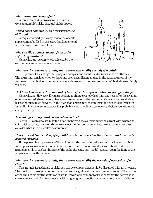#### *What terms can be modified?*

A court can modify provisions for custody (conservatorship), visitation, and child support.

#### *Which court can modify an order regarding children?*

A request to modify custody, visitation or child support must be filed in the court that last entered an order regarding the children.

#### *Who can file a request to modify an order regarding children?*

Generally, any person who is affected by the court order can request a modification.



#### *What are the reasons (grounds) that a court will modify custody of a child?*

The grounds for a change of custody are complex and should be discussed with an attorney. The court may consider whether there has been a significant change in the circumstances of the parties or of the child, or whether a person with visitation has been convicted of child abuse or family violence.

#### *Do I have to wait a certain amount of time before I can file a motion to modify custody?*

Generally, no. However, if you are seeking to change custody less than one year after the original order was signed, then the court has special requirements that you must show in a sworn affidavit before the suit can go forward. In the case of an emergency, the timing of the suit is usually not an issue. But in other circumstances, it is probably wise to wait at least one year before you attempt to change custody.

#### *At what age can my child choose where to live?*

A child 12 years or older may file a document with the court naming the parent with whom the child wishes to live; however, this choice is not binding on the court because the court must also consider what is in the child's best interests.

#### *How can I get legal custody if my child is living with me but the other parent has courtordered custody?*

If the person having custody of the child under the last court order voluntarily leaves the child in the possession of another for a period of more than six months and the court finds that this arrangement is in the best interest of the child, the court may modify custody upon the filing of the proper motion with the court.

#### *What are the reasons (grounds) that a court will modify the periods of possession of a child?*

The grounds for a change in visitation can be complex and should be discussed with an attorney. The court may consider whether there has been a significant change in circumstances of the parties or the child, whether the visitation order is unworkable or inappropriate, whether the person with custody moved out of state or moved without giving proper notice, whether a person with visitation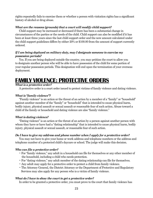rights repeatedly fails to exercise them or whether a person with visitation rights has a significant history of alcohol or drug abuse.

#### *What are the reasons (grounds) that a court will modify child support?*

Child support may be increased or decreased if there has been a substantial change in circumstances of the parties or the needs of the child. Child support can also be modified if it has been at least three years since the last child support order and the new amount calculated under the child support guidelines differs by either 20% or \$100.00 from the amount of support currently ordered.

#### *If I am being deployed on military duty, may I designate someone to exercise my possession periods?*

Yes. If you are being deployed outside the country, you may petition the court to allow you to designate another person who will be able to have possession of the child for some portion of your regular possession periods. This designation will end upon the termination of your overseas deployment.

# **FAMILY VIOLENCE: PROTECTIVE ORDERS**

#### *What is a protective order?*

A protective order is a court order issued to protect victims of family violence and dating violence.

#### *What is "family violence"?*

"Family violence" is an action or the threat of an action by a member of a "family" or "household" against another member of the "family" or "household" that is intended to cause physical harm, bodily injury, physical assault or sexual assault or reasonable fear of such action. Abuse toward a child of the family or household and dating violence are also "family violence."

#### *What is dating violence?*

"Dating violence" is an action or the threat of an action by a person against another person with whom they have or have had a "dating relationship" that is intended to cause physical harm, bodily injury, physical assault or sexual assault, or reasonable fear of such action.

#### *Do I have to give my address and phone number when I apply for a protective order?*

You may not have to give your home or work address and telephone numbers or the address and telephone number of a protected child's daycare or school. The judge will make this decision.

#### *Who can file a protective order?*

- For "family violence," any adult in a household can file for themselves or any other member of the household, including a child who needs protection.
- For "dating violence," any adult member of the dating relationship can file for themselves.
- Any adult may apply for a protective order to protect a child from family violence.
- The Attorney General, the District Attorney or the Department of Protective and Regulatory Services may also apply for any person who is a victim of family violence.

#### *What do I have to show the court to get a protective order?*

In order to be granted a protective order, you must prove to the court that family violence has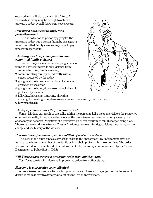occurred and is likely to occur in the future. A victim's testimony may be enough to obtain a protective order, even if there is no police report.

#### *How much does it cost to apply for a protective order?*

There is no fee to the person applying for the protective order, but a person found by the court to have committed family violence may have to pay for certain court costs.

#### *What happens to a person found to have committed family violence?*

The court may issue an order stopping a person found to have committed family violence from:

- 1. committing more family violence;
- 2. communicating directly or indirectly with a person protected by the order;
- 3. going near the home or work place of a person protected by the order;
- 4. going near the home, day care or school of a child protected by the order;



- 5. following, harassing, annoying, alarming, abusing, tormenting, or embarrassing a person protected by the order; and
- 6. having a firearm.

#### *What if a person violates the protective order?*

Some violations can result in the police taking the person to jail if he or she violates the protective order. Additionally, if the person that violates the protective order is in the country illegally, he or she may be deported. Violations of a protective order can result in criminal charges being filed. Those charges could range from a Class A Misdemeanor to a third degree felony, depending on the charge and the history of the violator.

#### *How are law enforcement agencies notified of protective orders?*

The clerk of the court sends a copy of the order to the appropriate law enforcement agencies in the area where the member of the family or household protected by the order lives. The order is also entered into the statewide law enforcement information system maintained by the Texas Department of Public Safety (DPS).

#### *Will Texas courts enforce a protective order from another state?*

Yes, Texas courts will enforce valid protective orders from other states.

#### *How long is a protective order effective?*

A protective order can be effective for up to two years. However, the judge has the discretion to decide to make it effective for any amount of time less than two years.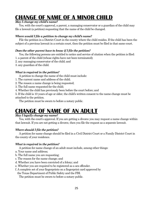# **CHANGE OF NAME OF A MINOR CHILD**

#### *May I change my child's name?*

Yes, with the court's approval, a parent, a managing conservator or a guardian of the child may file a lawsuit (a petition) requesting that the name of the child be changed.

#### *Where would I file a petition to change my child's name?*

File the petition in a District Court in the county where the child resides. If the child has been the subject of a previous lawsuit in a certain court, then the petition must be filed in that same court.

#### *Does the other parent have to know if I file the petition?*

Yes, the following persons are entitled to notice and service of citation when the petition is filed:

- 1. a parent of the child (whose rights have not been terminated);
- 2. any managing conservator of the child; and
- 3. any guardian of the child.

#### *What is required in the petition?*

A petition to change the name of the child must include:

- 1. The current name and address of the child;
- 2. The reason a name change is being requested;
- 3. The full name requested for the child;
- 4. Whether the child has previously been before the court before; and

5. If the child is 10 years of age or older, the child's written consent to the name change must be attached to the petition.

The petition must be sworn to before a notary public.

# **CHANGE OF NAME OF AN ADULT**

#### *May I legally change my name?*

Yes, with the court's approval. If you are getting a divorce you may request a name change within that lawsuit. If you are not getting a divorce, then you file the request as a separate lawsuit.

#### *Where should I file the petition?*

A petition for name change should be filed in a Civil District Court or a Family District Court in the county of your residence.

#### *What is required in the petition?*

A petition for name change of an adult must include, among other things:

- a. Your name and address;
- b. The full name you are requesting;
- c. The reason for the name change; and
- d. Whether you have been convicted of a felony; and
- e. Whether you are required to be registered as a sex offender.
- f. A complete set of your fingerprints on a fingerprint card approved by

the Texas Department of Public Safety and the FBI.

The petition must be sworn to before a notary public.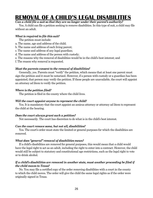# **REMOVAL OF A CHILD'S LEGAL DISABILITIES**

#### *Can a child file a suit so that they are no longer under their parent's authority?*

Yes. A child can file a petition seeking to remove disabilities. In this type of suit, a child may file without an adult.

#### *What is required to file this suit?*

The petition must include:

- a. The name, age and address of the child;
- b. The name and address of each living parent;
- c. The name and address of any legal guardian;
- d. The name and address of the person with custody;
- e. The reasons why the removal of disabilities would be in the child's best interest; and
- f. The reason why removal is requested.

#### *Must the parents consent to the removal of disabilities?*

Generally, yes. Parents must "verify" the petition, which means that at least one parent must sign the petition and it must be notarized. However, if a person with custody or a guardian has been appointed, that person may verify the petition. If these people are unavailable, the court will appoint an attorney ad litem to verify the petition.

#### *Where is the petition filed?*

The petition is filed in the county where the child lives.

#### *Will the court appoint anyone to represent the child?*

Yes. It is mandatory that the court appoint an amicus attorney or attorney ad litem to represent the child at the hearing.

#### *Does the court always grant such a petition?*

Not necessarily. The court has discretion to do what is in the child's best interest.

#### *Can the court remove some, but not all, disabilities?*

Yes. The court's order must state the limited or general purposes for which the disabilities are removed.

#### *What does "general" removal of disabilities mean?*

If a child's disabilities are removed for general purposes, this would mean that a child would have the legal right to act as an adult, including the right to enter into a contract. However, the child would still be subject to statutory and constitutional age restrictions, such as the legal right to vote or to drink alcohol.

#### *If a child's disabilities are removed in another state, must another proceeding be filed if the child moves to Texas?*

No. You may file a certified copy of the order removing disabilities with a court in the county to which the child moves. The order will give the child the same legal rights as if the order were originally signed in Texas.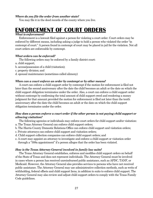#### *Where do you file the order from another state?*

You may file it in the deed records of the county where you live.

# **ENFORCEMENT OF COURT ORDERS**

#### *What is enforcement?*

Enforcement is a lawsuit filed against a person for violating a court order. Court orders may be enforced by different means, including asking a judge to hold a person who violated the order "in contempt of court." A person found in contempt of court may be placed in jail for the violation. Not all court orders are enforceable by contempt.

#### *What orders can be enforced?*

The following orders may be enforced by a family district court:

- a. child support;
- b. access/possession of a child (visitation);
- c. property division; and
- d. spousal maintenance (sometimes called alimony)

#### *When can a court enforce an order by contempt or by other means?*

A court can enforce a child support order by contempt if the motion for enforcement is filed not later than the second anniversary after the date the child becomes an adult or the date on which the child support obligation terminates under the order. Also, a court can enforce a child support order without contempt by confirming the total amount of child support owed and rendering a money judgment for that amount provided the motion for enforcement is filed not later than the tenth anniversary after the date the child becomes an adult or the date on which the child support obligation terminates under the order.

#### *How does a person enforce a court order if the other person is not paying child support or allowing visitation?*

The following agencies or individuals may enforce court orders for child support and/or visitation:

- a. The Texas Attorney General can enforce child support orders;
- b. The Harris County Domestic Relations Office can enforce child support and visitation orders;
- c. Private attorneys can enforce child support and visitation orders;
- d. Child support collection companies can enforce child support orders; and
- e. A court may appoint an attorney to investigate and enforce a child support or visitation order through a "308a appointment" if a person alleges that the order has been violated.

#### *How is the Texas Attorney General involved in family law suits?*

The Texas Attorney General establishes, enforces and modifies child support orders on behalf of the State of Texas and does not represent individuals. The Attorney General must be involved in cases where a person has received unreimbursed public assistance, such as AFDC, TANF, or Medicaid. However, the Attorney General also provides services to persons who have not received public assistance. The Attorney General may use administrative collection methods, such as writs of withholding, federal offsets and child support liens, in addition to suits to enforce child support. The Attorney General may also review and adjust child support orders to comply with the Texas Family Code guidelines.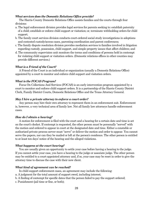#### *What services does the Domestic Relations Office provide?*

The Harris County Domestic Relations Office assists families and the courts through four divisions:

- a. The legal enforcement division provides legal services for parents seeking to: establish paternity of a child; establish or enforce child support or visitation; or, terminate withholding orders for child support;
- b. The family court services division conducts court-ordered social study investigations in adoptions and contested custody/access cases, parenting coordination and parent conferences;
- c. The family dispute resolution division provides mediation services to families involved in litigation regarding custody, possession, child support, and simple property issues that affect children; and
- d. The community supervision unit monitors the terms and conditions of persons held in contempt for violating child support or visitation orders. (Domestic relations offices in other counties may provide different services.)

#### *What is a Friend of the Court?*

A Friend of the Court is an individual or organization (usually a Domestic Relations Office) appointed by a court to monitor and enforce child support and visitation orders.

#### *What is the FOCAS Program?*

Focus On Collections And Services (FOCAS) is an early intervention program appointed by a court to monitor and enforce child support orders. It is a partnership of the Harris County District Clerk, Family District Courts, Domestic Relations Office and the Texas Attorney General.

#### *May I hire a private attorney to enforce a court order?*

Any person may hire their own attorney to represent them in an enforcement suit. Enforcement is, however, a very technical area of family law. Not all family law attorneys handle enforcement cases.

#### *How do I obtain a hearing?*

A motion for enforcement is filed with the court and a hearing for a certain date and time is set on the court's docket. If contempt is requested, the other person must be personally "served" with the motion and ordered to appear in court at the designated date and time. Either a constable or authorized private process server must "serve" or deliver the motion and order to appear. You cannot serve the papers, nor can they be mailed or left at the person's residence. The other person is entitled to at least ten days' notice of the hearing and the alleged violations.

#### *What happens at the court hearing?*

You are usually given an opportunity to settle your case before having a hearing to the judge. If you cannot settle your case, you have a hearing to the judge or associate judge. The other person may be entitled to a court-appointed attorney and, if so, your case may be reset in order to give the attorney time to discuss the case with their new client.

#### *What kind of agreement can be reached?*

In child support enforcement cases, an agreement may include the following:

- a. A judgment for the total amount of support owed, including interest;
- b. A finding of contempt for specific dates that the person failed to pay the support ordered;
- c. Punishment (jail time or fine, or both);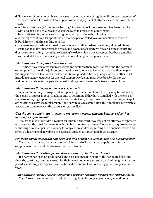- d. Suspension of punishment based on certain terms: payment of regular child support, payment of an extra amount toward the total support owed, and payment of attorney's fees and costs of court; and
- e. A future court date (a "compliance hearing") to determine if the agreement has been complied with and, if it has not, a hearing to ask the court to impose the punishment. In visitation enforcement cases, an agreement may include the following:
- a. A finding of contempt for specific dates that the person failed to allow visitation as ordered;
- b. Punishment (jail time or fine, or both);
- c. Suspension of punishment based on certain terms: allow ordered visitation, allow additional visitation to make up for periods denied, and payment of attorney's fees and costs of court; and
- d. A future court date (a "compliance hearing") to determine if the agreement has been complied with and, if it has not, a hearing to ask the court to impose the punishment.

#### *What happens if the judge hears the case?*

The judge may find a person in contempt and sentence them to jail, or may find the person in contempt and suspend the jail sentence based on certain terms, including ordering them to pay the support owed or to allow the ordered visitation periods. The judge may also order other relief, including a money judgment for the total support owed, a payment schedule for the support, additional visitation for the periods denied, and payment of attorney's fees and costs of court.

#### *What happens if the jail sentence is suspended?*

A jail sentence may be suspended for up to ten years. A compliance hearing may be ordered for the person to appear in court at a later date to determine if they have complied with the terms of suspension (paying support, allowing visitation, etc.) and, if they have not, they may be sent to jail at that time to serve the punishment. If the person fails to comply after the compliance hearing has passed, a motion to revoke the suspension can be filed.

#### *Can the court appoint an attorney to represent a person who has been served with a motion for enforcement?*

Yes. If the motion includes a request for jail time, the court may appoint an attorney to represent a person that the court finds cannot afford to hire their own attorney. Most courts require the person requesting a court-appointed attorney to complete an affidavit regarding their financial status and/ or have a hearing to determine if the person is entitled to a court-appointed attorney.

#### *Are there any defenses that can be raised by a person accused of violating a court order?*

Yes, there are several defenses, counter-claims, and offsets that may apply, but this is a very complex issue and should be discussed with an attorney.

#### *What happens if the other person does not show up for the court date?*

If a person has been properly served and does not appear in court at the designated date and time, the court may grant a warrant for their arrest and may also grant a default judgment for the past due child support. A person cannot be held in contempt without being present in person in court.

#### *Can additional money be withheld from a person's earnings for past due child support?*

Yes. The court can order that, in addition to regular child support payments, an additional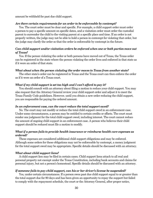amount be withheld for past due child support.

#### *Are there certain requirements for an order to be enforceable by contempt?*

Yes. The court order must be clear and specific. For example, a child support order must order a person to pay a specific amount on specific dates, and a visitation order must order the custodial parent to surrender the child to the visiting parent at a specific place and time. If an order is not properly written, the judge may not be able to hold a person in contempt for violating that order, but the judge may clarify the order so that the order is enforceable by contempt in the future.

#### *Can child support and/or visitation orders be enforced when one or both parties move out of Texas?*

Yes. If the person violating the order or both persons have moved out of Texas, the Texas order can be registered in the state where the person violating the order lives and enforced in that state as if it were an order of that state.

#### *What about when the person violating the order moves to Texas from another state?*

The other state's order can be registered in Texas and the Texas court can then enforce the order as if it were an order of a Texas court.

#### *What if my child support is set too high and I can't afford to pay it?*

You should consult with an attorney about filing a motion to reduce your child support. You may also request that the Attorney General review your child support order and adjust it to meet the Texas Family Code guidelines. However, until you obtain a new order reducing the child support, you are responsible for paying the ordered amount.

#### *In an enforcement case, can the court reduce the total support owed?*

No. The court may not modify or reduce the total child support owed in an enforcement case. Under some circumstances, a person may be entitled to certain credits or offsets. The court must render one judgment for the total child support owed, including interest. The court cannot reduce the amount of ongoing child support in an enforcement case. A person who believes their child support should be reduced must file a motion to modify.

#### *What if a person fails to provide health insurance or reimburse health care expenses as ordered?*

These expenses are considered additional child support obligations and may be enforced. Although some orders for these obligations may not be enforceable by contempt, a money judgment for the total support owed may be appropriate. Specific details should be discussed with an attorney.

#### *What about child support liens?*

A child support lien may be filed in certain cases. Child support liens attach to all real and personal property not exempt under the Texas Constitution, including bank accounts and claims for personal injury, but not a person's homestead. Specific details should be discussed with an attorney.

#### *If someone fails to pay child support, can his or her driver's license be suspended?*

Yes, under certain circumstances. If a person owes past due child support equal to or greater than the total support due for 90 days and has been given an opportunity to repay the support but failed to comply with the repayment schedule, the court or the Attorney General, after proper notice,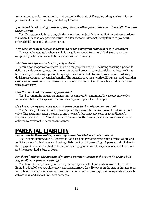may suspend any licenses issued to that person by the State of Texas, including a driver's license, professional license, or hunting and fishing licenses.

#### *If a parent is not paying child support, does the other parent have to allow visitation with the children?*

Yes. One parent's failure to pay child support does not justify denying that parent court-ordered visitation. Likewise, one parent's refusal to allow visitation does not justify failure to pay courtordered child support to the other parent.

#### *What can be done if a child is taken out of the country in violation of a court order?*

The remedies available when a child is illegally removed from the United States are very complex. Specific details should be discussed with an attorney.

#### *What about enforcement of property orders?*

A court has the power to enforce its orders for property division, including ordering a person to deliver specific property, awarding money damages if property cannot be delivered because it has been destroyed, ordering a person to sign specific documents to transfer property, and ordering a division of retirement or pension benefits. The agencies that assist with child support and visitation cases cannot assist with actions to enforce property divisions. Specific details should be discussed with an attorney.

#### *Can the court enforce alimony payments?*

Yes. Spousal maintenance payments may be enforced by contempt. Also, a court may order income withholding for spousal maintenance payments just like child support.

#### *Can I recover my attorney's fees and court costs in the enforcement action?*

Yes. Attorney's fees and court costs are generally recoverable in any motion to enforce a court order. The court may order a person to pay attorney's fees and court costs as a condition of a suspended jail sentence. Also, the order for payment of the attorney's fees and court costs can be enforced by contempt in some circumstances.

# **PARENTAL LIABILITY**

#### *Is a parent in Texas liable for damage caused by his/her child's actions?*

Yes, in some circumstances. A parent is liable for damage to property caused by the willful and malicious acts of a child who is at least age 10 but not yet 18 years of age. A parent is also liable for the negligent conduct of a child if the parent has negligently failed to supervise or control the child and the parent had a duty to do so.

#### *Are there limits on the amount of money a parent must pay if the court finds his child responsible for property damage?*

Yes. In most cases, recovery for damage caused by the willful and malicious acts of a child is limited to \$25,000 per act, plus court costs and attorney's fees. However, in the case of damage to an inn or hotel, incidents in more than one room or on more than one day count as separate acts, each subject to an additional \$25,000 in damages.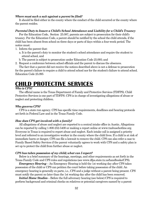#### *Where must such a suit against a parent be filed?*

It should be filed either in the county where the conduct of the child occurred or the county where the parent resides.

#### *Parental Duty to Insure a Child's School Attendance and Liability for a Child's Truancy*

Per the Education Code, Section 25.087, parents are subject to prosecution for their child's truancy. Per the Education Code, a parent should be notified by the school the child attends, if the child has been absent from school on three days or parts of days within a four-week period. The notice must:

- 1. Inform the parent that:
	- a. It is the parent's duty to monitor the student's school attendance and require the student to attend school, and
	- b. The parent is subject to prosecution under Education Code 25.093; and
- 2. Request a conference between school officials and the parent to discuss the absences.

The fact that a parent did not receive the notices described above is not a defense to prosecution for the parent's failure to require a child to attend school nor for the student's failure to attend school. Education Code 25.095

# **CHILD PROTECTIVE SERVICES**

#### *Who is CPS?*

The official name is the Texas Department of Family and Protective Services (TDFPS). Child Protective Services is one part of TDFPS. CPS is in charge of investigating allegations of abuse or neglect and protecting children.

#### *Who governs CPS?*

CPS is a state run agency. CPS has specific time requirements, deadlines and hearing protocols set forth in Federal Law and in the Texas Family Code.

#### *How does CPS get involved with a family?*

All allegations of abuse and neglect are reported to a central intake office in Austin. Allegations can be reported by calling 1-800-252-5400 or making a report online at www.txabusehotline.org. Everyone in Texas is required to report abuse and neglect. Each intake call is assigned a priority level and referred to an investigative worker in the county where the child lives. If a child is at risk of immediate harm or danger, CPS can file a lawsuit to remove the child. CPS can also refer a case to Family Based Safety Services if the parent voluntarily agrees to work with CPS and a safety plan is set up to protect the child from further abuse or neglect.

#### *CPS has taken possession of my child; what can I expect?*

Below is a brief summary of the hearings, meetings, and other requirements as set forth in the Texas Family Code and CPS rules and regulations (see www.dfps.state.tx.us/handbooks/CPS).

*Emergency Hearing* – An Emergency Hearing is held the 1st working day after CPS takes possession of the child or CPS can petition the court before taking possession of the child. An emergency hearing is generally ex parte, i.e., CPS and a judge without a parent being present. CPS must notify the parent no later than the 1st working day after the child has been removed.

*Initial Home Studies* – Before the full adversary hearing (see below) CPS is required to perform background and criminal checks on relatives or potential caregivers named by a parent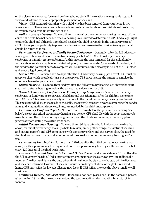on the placement resource form and perform a home study if the relative or caregiver is located in Texas and is found to be an appropriate placement for the child.

*Visits* – CPS standard visitation with a child who has been removed from your home is two hours a month. These visits can be two one-hour visits or one two-hour visit. Additional visits may be available for a child under the age of one.

*Full Adversary Hearing*– No more than 14 days after the emergency hearing (removal of the child) if the child has not been returned, a hearing is conducted to determine if CPS had a legal right to take the child and if there is a continued need for the child to remain in the temporary care of CPS. This is your opportunity to present evidence (call witnesses) to the court as to why your child should be returned to you.

*Permanency Conference or Family Group Conference* – Generally, after the full adversary hearing (see above) and before the status hearing (see below), CPS will hold a permanency conference or a family group conference. At this meeting the long term goal for the child (family reunification, relative adoption, unrelated adoption, or conservatorship), the needs of the child, and the services the parent(s) needs to complete will be discussed. This meeting is held at the CPS office and is not a legal proceeding.

*Service Plan* – No more than 45 days after the full adversary hearing (see above) CPS must file a service plan which specifically lays out the services CPS is requesting the parent to complete in order to achieve the permanency goal.

*Status Hearing* – No more than 60 days after the full adversary hearing (see above) the court shall hold a status hearing to review the service plans developed by CPS.

*Second Permanency Conference or Family Group Conference – Another permanency* conference or family group conference is held around the 5th month after the children have come into CPS care. This meeting generally occurs prior to the initial permanency hearing (see below). This meeting will discuss the needs of the child, the parent's progress towards completing the service plan, and what additional services, if any, are needed for the child and/or parent.

*Permanency Progress Report* – No more than 10 days before the permanency hearing (see below), except the initial permanency hearing (see below), CPS shall file with the court and provide to each parent, the child's attorney and guardian, and the child's volunteer a permanency plan progress report stating the status of the case.

*Initial Permanency Hearing* – No more than 180 days after the full adversary hearing (see above) an initial permanency hearing is held to review, among other things, the status of the child and parent, parent's and CPS compliance with temporary orders and the service plan, the need for the child to continue in care, and whether to set the case for another permanency hearing and/or trial.

*Permanency Hearing(s)* – No more than 120 days after the initial permanency hearing (see above) another permanency hearing is held and other permanency hearings will continue to be held every 120 days until the final trial starts.

*Dismissal Date and Extended Dismissal Date* – The initial dismissal date is 12 months after the full adversary hearing. Under extraordinary circumstances the court can give an additional 6 months. The dismissal date is the date when final trial must be started or the case will be dismissed and the child returned. However, if the child would be in danger of abuse or neglect if returned home, CPS may refile the lawsuit alleging new facts. If CPS refiles the case the above timeline will start over.

*Monitored Return Dismissal Date* – If the child has been placed back in the home of a parent, after the first 18 months the court can extend the case an additional six months for a total of 24 months.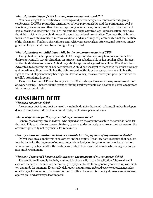#### *What rights do I have if CPS has temporary custody of my child?*

You have a right to be notified of all hearings and permanency conferences or family group conferences. If CPS is requesting termination of your parental rights and the permanency goal is adoption, you can request that the court appoint you an attorney to represent you. The court will hold a hearing to determine if you are indigent and eligible for free legal representation. You have the right to visit with your child unless the court has ordered no visitation. You have the right to be informed of your child's current medical condition and any change of placement but not the location of the placement. You have the right to speak with your caseworker, attorney, and attorney and/or guardian for your child. You have the right to a jury trial.

#### *What rights does my child have while in the temporary custody of CPS?*

Every child in the temporary custody of CPS is appointed an attorney to represent his or her desires or wants. In certain situations an attorney can substitute his or her opinion of best interest for the child's desires or wants. A child may also be appointed a guardian ad litem (CASA or Child Advocates) to represent his or her best interest. A child has the right to meet with his or her attorney and guardian ad litem. A child has the right to speak with his or her caseworker. A child has the right to attend all permanency hearings. In Harris County, most courts require prior permission for a child's attendance in court.

Being involved with CPS can be very scary. CPS will always have an attorney to represent them at every hearing. A parent should consider finding legal representation as soon as possible to protect his or her parental rights.

### **CONSUMER DEBT**

#### *What is a consumer debt?*

A consumer debt is any debt incurred by an individual for the benefit of himself and/or his dependents. Examples include car loans, credit cards, bank loans, personal loans.

#### *Who is responsible for the payment of my consumer debt?*

 Generally speaking, any individual who signed off on the account to obtain the credit is liable for the debt. This can include spouses, children, parents, and other cosigners. An authorized user on the account is generally not responsible for repayment.

#### *Can my spouse or children be held responsible for the payment of my consumer debts?*

 Only if they are co-applicants or co-owners on the account. Texas law does recognize that spouses may be liable for the payment of necessaries, such as food, clothing, shelter and medical attention, however as a practical matter the creditor will only look to those individuals who are signers on the account for repayment.

#### *What can I expect if I become delinquent on the payment of my consumer debts?*

 The creditor will usually begin by making telephone calls to you for collection. These calls will escalate the farther behind you become on your payments. Calls are generally followed up with written demands for payment. Eventually delinquent accounts are referred over to collection agencies or attorney's for collection. If a lawsuit is filed to collect the amounts due, a judgment can be entered against you and attorney's fees imposed.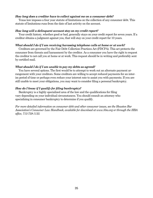#### *How long does a creditor have to collect against me on a consumer debt?*

 Texas law imposes a four year statute of limitations on the collection of any consumer debt. This statute of limitations runs from the date of last activity on the account.

#### *How long will a delinquent account stay on my credit report?*

 Your credit history, whether good or bad, generally stays on your credit report for seven years. If a creditor obtains a judgment against you, that will stay on your credit report for 10 years.

#### *What should I do if I am receiving harassing telephone calls at home or at work?*

 Creditors are governed by the Fair Debt Collection Practices Act (FDCPA). This act protects the consumer from threats and harassment by the creditor. As a consumer you have the right to request the creditor to not call you at home or at work. This request should be in writing and preferably sent by certified mail.

#### *What should I do if I am unable to pay my debts as agreed?*

You have several options. The first would be to attempt to work out an alternate payment arrangement with your creditors. Some creditors are willing to accept reduced payments for an interim period of time or perhaps even reduce your interest rate to assist you with payments. If you are still unable to meet your obligations, you may wantto consider filing a personal bankruptcy.

#### *How do I know if I qualify for filing bankruptcy?*

Bankruptcy is a highly specialized area of the law and the qualifications for filing vary depending on your individual circumstances. You should consult an attorney who specializing in consumer bankruptcy to determine if you qualify.

*For more detailed information on consumer debt and other consumer issues, see the Houston Bar Association's Consumer Law Handbook, available for download at www.hba.org or through the HBA office, 713-759-1133.*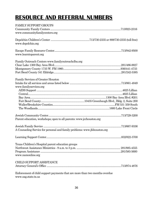# **RESOURCE AND REFERRAL NUMBERS**

| <b>FAMILY SUPPORT GROUPS</b>                                                |  |
|-----------------------------------------------------------------------------|--|
|                                                                             |  |
| www.communityfamilycenters.org                                              |  |
| www.depelchin.org                                                           |  |
| www.learntoparent.org                                                       |  |
| Family Outreach Centers www.familyoutreachclba.org                          |  |
|                                                                             |  |
|                                                                             |  |
|                                                                             |  |
| Family Services of Greater Houston                                          |  |
|                                                                             |  |
| www.familyservices.org                                                      |  |
|                                                                             |  |
|                                                                             |  |
|                                                                             |  |
|                                                                             |  |
|                                                                             |  |
|                                                                             |  |
|                                                                             |  |
| Parent education, workshops; open to all parents: www.jcchouston.org        |  |
| A Counseling Service for personal and family problems: www.jfshouston.org   |  |
|                                                                             |  |
| Texas Children's Hospital parent education groups<br>www.namonline.org      |  |
| <b>CHILD SUPPORT ASSISTANCE</b>                                             |  |
| Enforcement of child support payments that are more than two months overdue |  |

www.oag.state.tx.us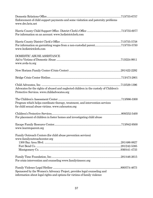| Enforcement of child support payments and some visitation and paternity problems<br>www.dro.hctx.net                                                  |  |
|-------------------------------------------------------------------------------------------------------------------------------------------------------|--|
| For information on an account: www.hcdistrictclerk.com                                                                                                |  |
|                                                                                                                                                       |  |
| www.hcdistrictclerk.com                                                                                                                               |  |
| DOMESTIC ABUSE ASSISTANCE                                                                                                                             |  |
| www.avda-tx.org                                                                                                                                       |  |
|                                                                                                                                                       |  |
|                                                                                                                                                       |  |
| Advocates for the rights of abused and neglected children in the custody of Children's<br>Protective Services. www.childadvocates.org                 |  |
| Program which helps coordinate therapy, treatment, and intervention services<br>for child sexual abuse victims. www.cahouston.org                     |  |
|                                                                                                                                                       |  |
| For placement of children in foster homes and investigating child abuse                                                                               |  |
| www.learntoparent.org                                                                                                                                 |  |
| Family Outreach Centers (for child abuse prevention services)<br>www.familyoutreachcenter.org                                                         |  |
|                                                                                                                                                       |  |
|                                                                                                                                                       |  |
|                                                                                                                                                       |  |
| For crisis intervention and counseling www.familytimecc.org                                                                                           |  |
| Sponsored by the Women's Advocacy Project, provides legal counseling and<br>information about legal rights and options for victims of family violence |  |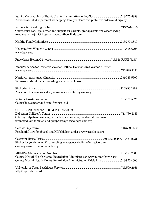| For issues related to parental kidnapping, family violence and protective orders and bigamy                                                                                            |  |
|----------------------------------------------------------------------------------------------------------------------------------------------------------------------------------------|--|
| Offers education, legal advice and support for parents, grandparents and others trying<br>to navigate the judicial system. www.fathers4kids.com                                        |  |
|                                                                                                                                                                                        |  |
| www.hawc.org                                                                                                                                                                           |  |
|                                                                                                                                                                                        |  |
| Emergency Shelter/Domestic Violence Hotline, Houston Area Women's Center                                                                                                               |  |
| Women's and children's counseling www.namonline.org                                                                                                                                    |  |
| Assistance to victims of elderly abuse www.shelteringarms.org                                                                                                                          |  |
| Counseling, support and some financial aid                                                                                                                                             |  |
| CHILDREN'S MENTAL HEALTH SERVICES<br>Offering outpatient services, partial hospital services, residential treatment,<br>for individuals, families, and group therapy www.depelchin.org |  |
| Residential care for abused and HIV children under 6 www.casahope.org                                                                                                                  |  |
| Shelter for youth under 21, counseling, emergency shelter offering food, and<br>clothing www.covenanthousetx.org                                                                       |  |
|                                                                                                                                                                                        |  |
| County Mental Health Mental Retardation Administration www.mhmraharris.org<br>County Mental Health Mental Retardation Administration Crisis Line713/970-4600                           |  |
| http://hcpc.uth.tmc.edu                                                                                                                                                                |  |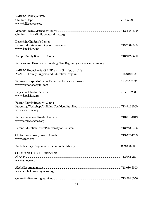| PARENT EDUCATION                                                    |  |
|---------------------------------------------------------------------|--|
|                                                                     |  |
| www.childrencope.org                                                |  |
|                                                                     |  |
|                                                                     |  |
| Children in the Middle www.mdumc.org                                |  |
| Depelchin Children's Center                                         |  |
|                                                                     |  |
|                                                                     |  |
| www.depelchin.org                                                   |  |
|                                                                     |  |
|                                                                     |  |
| Families and Divorce and Building New Beginnings www.icanparent.org |  |
| PARENTING CLASSES AND SKILLS RESOURCES                              |  |
|                                                                     |  |
|                                                                     |  |
|                                                                     |  |
| www.womanshospital.com                                              |  |
|                                                                     |  |
|                                                                     |  |
| www.depelchin.org                                                   |  |
|                                                                     |  |
| <b>Escape Family Resource Center</b>                                |  |
|                                                                     |  |
| www.escapefrc.org                                                   |  |
|                                                                     |  |
|                                                                     |  |
| www.familyservices.org                                              |  |
|                                                                     |  |
|                                                                     |  |
|                                                                     |  |
| www.sapch.org                                                       |  |
|                                                                     |  |
|                                                                     |  |
|                                                                     |  |
| <b>SUBSTANCE ABUSE SERVICES</b>                                     |  |
|                                                                     |  |
| www.alanon.org                                                      |  |
|                                                                     |  |
|                                                                     |  |
| www.alcoholics-anonymous.org                                        |  |
|                                                                     |  |
|                                                                     |  |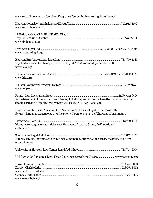| www.council-houston.org/Services_Programs/Center_for_Recovering_Families.aqf                                                                                                |  |
|-----------------------------------------------------------------------------------------------------------------------------------------------------------------------------|--|
| www.council-houston.org                                                                                                                                                     |  |
| <b>LEGAL SERVICES AND INFORMATION</b><br>www.drchouston.org                                                                                                                 |  |
| www.lonestarlegal.org                                                                                                                                                       |  |
| Legal advice over the phone, 5 p.m. to 9 p.m., 1st & 3rd Wednesday of each month<br>www.hba.org                                                                             |  |
| www.hlrs.org                                                                                                                                                                |  |
| www.hvlp.org                                                                                                                                                                |  |
| In the basement of the Family Law Center, 1115 Congress. A booth where the public can ask for<br>simple legal advice for family law in person. Hours: 8:30 a.m. - 3:00 p.m. |  |
| Hispanic and Mexican-American Bar Association's Consejos Legales 713/759-1133<br>Spanish language legal advice over the phone, 6 p.m. to 8 p.m., 1st Thursday of each month |  |
| Vietnamese language legal advice over the phone, 5 p.m. to 7 p.m., 3rd Tuesday of<br>each month                                                                             |  |
| Handles simple, uncontested divorce, will & probate matters, social security disability cases and<br>name changes                                                           |  |
|                                                                                                                                                                             |  |
|                                                                                                                                                                             |  |
|                                                                                                                                                                             |  |
| www.hcdistrictclerk.com<br>www.cclerk.hctx.net                                                                                                                              |  |